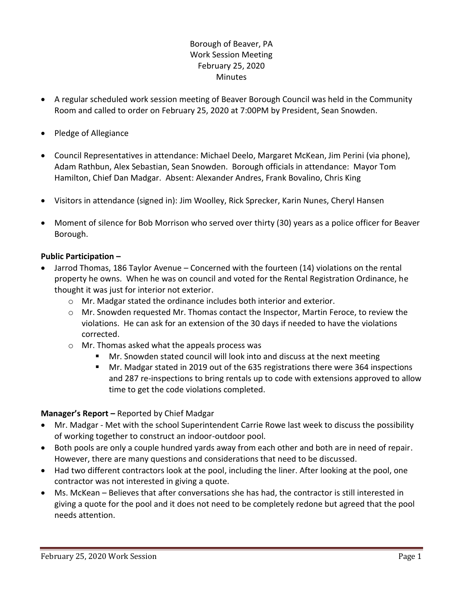## Borough of Beaver, PA Work Session Meeting February 25, 2020 Minutes

- A regular scheduled work session meeting of Beaver Borough Council was held in the Community Room and called to order on February 25, 2020 at 7:00PM by President, Sean Snowden.
- Pledge of Allegiance
- Council Representatives in attendance: Michael Deelo, Margaret McKean, Jim Perini (via phone), Adam Rathbun, Alex Sebastian, Sean Snowden. Borough officials in attendance: Mayor Tom Hamilton, Chief Dan Madgar. Absent: Alexander Andres, Frank Bovalino, Chris King
- Visitors in attendance (signed in): Jim Woolley, Rick Sprecker, Karin Nunes, Cheryl Hansen
- Moment of silence for Bob Morrison who served over thirty (30) years as a police officer for Beaver Borough.

## **Public Participation –**

- Jarrod Thomas, 186 Taylor Avenue Concerned with the fourteen (14) violations on the rental property he owns. When he was on council and voted for the Rental Registration Ordinance, he thought it was just for interior not exterior.
	- $\circ$  Mr. Madgar stated the ordinance includes both interior and exterior.
	- $\circ$  Mr. Snowden requested Mr. Thomas contact the Inspector, Martin Feroce, to review the violations. He can ask for an extension of the 30 days if needed to have the violations corrected.
	- o Mr. Thomas asked what the appeals process was
		- Mr. Snowden stated council will look into and discuss at the next meeting
		- Mr. Madgar stated in 2019 out of the 635 registrations there were 364 inspections and 287 re-inspections to bring rentals up to code with extensions approved to allow time to get the code violations completed.

### **Manager's Report –** Reported by Chief Madgar

- Mr. Madgar Met with the school Superintendent Carrie Rowe last week to discuss the possibility of working together to construct an indoor-outdoor pool.
- Both pools are only a couple hundred yards away from each other and both are in need of repair. However, there are many questions and considerations that need to be discussed.
- Had two different contractors look at the pool, including the liner. After looking at the pool, one contractor was not interested in giving a quote.
- Ms. McKean Believes that after conversations she has had, the contractor is still interested in giving a quote for the pool and it does not need to be completely redone but agreed that the pool needs attention.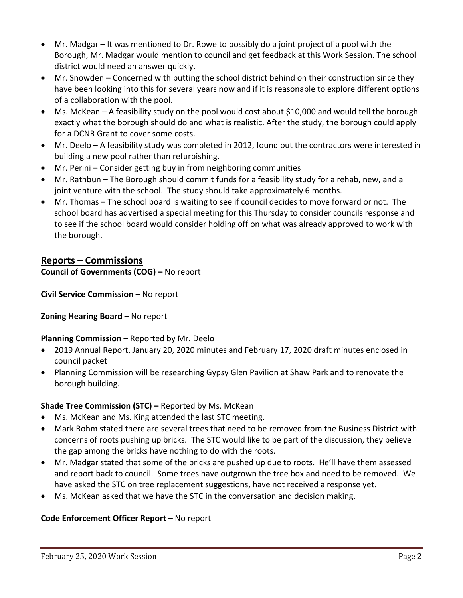- Mr. Madgar It was mentioned to Dr. Rowe to possibly do a joint project of a pool with the Borough, Mr. Madgar would mention to council and get feedback at this Work Session. The school district would need an answer quickly.
- Mr. Snowden Concerned with putting the school district behind on their construction since they have been looking into this for several years now and if it is reasonable to explore different options of a collaboration with the pool.
- Ms. McKean A feasibility study on the pool would cost about \$10,000 and would tell the borough exactly what the borough should do and what is realistic. After the study, the borough could apply for a DCNR Grant to cover some costs.
- Mr. Deelo A feasibility study was completed in 2012, found out the contractors were interested in building a new pool rather than refurbishing.
- Mr. Perini Consider getting buy in from neighboring communities
- Mr. Rathbun The Borough should commit funds for a feasibility study for a rehab, new, and a joint venture with the school. The study should take approximately 6 months.
- Mr. Thomas The school board is waiting to see if council decides to move forward or not. The school board has advertised a special meeting for this Thursday to consider councils response and to see if the school board would consider holding off on what was already approved to work with the borough.

# **Reports – Commissions**

**Council of Governments (COG) –** No report

**Civil Service Commission –** No report

**Zoning Hearing Board –** No report

**Planning Commission –** Reported by Mr. Deelo

- 2019 Annual Report, January 20, 2020 minutes and February 17, 2020 draft minutes enclosed in council packet
- Planning Commission will be researching Gypsy Glen Pavilion at Shaw Park and to renovate the borough building.

## **Shade Tree Commission (STC) –** Reported by Ms. McKean

- Ms. McKean and Ms. King attended the last STC meeting.
- Mark Rohm stated there are several trees that need to be removed from the Business District with concerns of roots pushing up bricks. The STC would like to be part of the discussion, they believe the gap among the bricks have nothing to do with the roots.
- Mr. Madgar stated that some of the bricks are pushed up due to roots. He'll have them assessed and report back to council. Some trees have outgrown the tree box and need to be removed. We have asked the STC on tree replacement suggestions, have not received a response yet.
- Ms. McKean asked that we have the STC in the conversation and decision making.

### **Code Enforcement Officer Report –** No report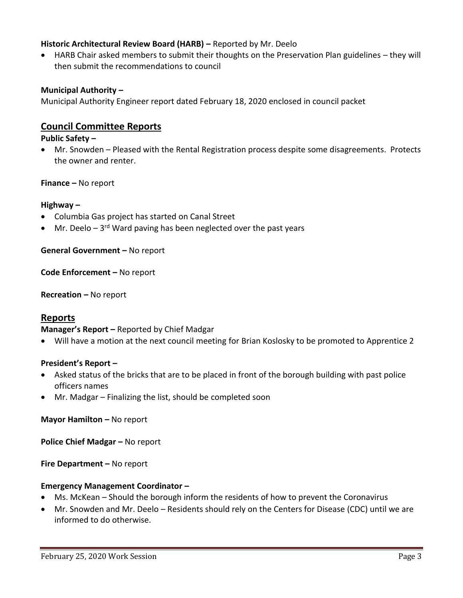### **Historic Architectural Review Board (HARB) –** Reported by Mr. Deelo

 HARB Chair asked members to submit their thoughts on the Preservation Plan guidelines – they will then submit the recommendations to council

#### **Municipal Authority –**

Municipal Authority Engineer report dated February 18, 2020 enclosed in council packet

## **Council Committee Reports**

#### **Public Safety –**

 Mr. Snowden – Pleased with the Rental Registration process despite some disagreements. Protects the owner and renter.

**Finance –** No report

#### **Highway –**

- Columbia Gas project has started on Canal Street
- Mr. Deelo 3<sup>rd</sup> Ward paving has been neglected over the past years

**General Government –** No report

**Code Enforcement –** No report

**Recreation –** No report

### **Reports**

**Manager's Report –** Reported by Chief Madgar

Will have a motion at the next council meeting for Brian Koslosky to be promoted to Apprentice 2

#### **President's Report –**

- Asked status of the bricks that are to be placed in front of the borough building with past police officers names
- Mr. Madgar Finalizing the list, should be completed soon

**Mayor Hamilton - No report** 

**Police Chief Madgar - No report** 

**Fire Department –** No report

#### **Emergency Management Coordinator –**

- Ms. McKean Should the borough inform the residents of how to prevent the Coronavirus
- Mr. Snowden and Mr. Deelo Residents should rely on the Centers for Disease (CDC) until we are informed to do otherwise.